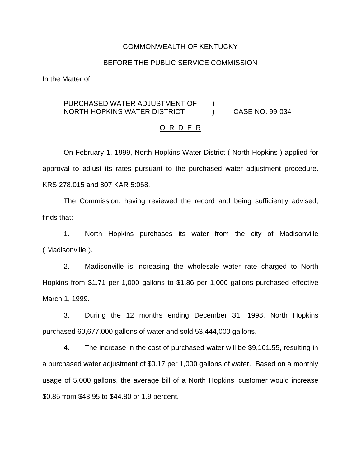### COMMONWEALTH OF KENTUCKY

## BEFORE THE PUBLIC SERVICE COMMISSION

In the Matter of:

# PURCHASED WATER ADJUSTMENT OF ) NORTH HOPKINS WATER DISTRICT ) CASE NO. 99-034

#### O R D E R

On February 1, 1999, North Hopkins Water District ( North Hopkins ) applied for approval to adjust its rates pursuant to the purchased water adjustment procedure. KRS 278.015 and 807 KAR 5:068.

The Commission, having reviewed the record and being sufficiently advised, finds that:

1. North Hopkins purchases its water from the city of Madisonville ( Madisonville ).

2. Madisonville is increasing the wholesale water rate charged to North Hopkins from \$1.71 per 1,000 gallons to \$1.86 per 1,000 gallons purchased effective March 1, 1999.

3. During the 12 months ending December 31, 1998, North Hopkins purchased 60,677,000 gallons of water and sold 53,444,000 gallons.

4. The increase in the cost of purchased water will be \$9,101.55, resulting in a purchased water adjustment of \$0.17 per 1,000 gallons of water. Based on a monthly usage of 5,000 gallons, the average bill of a North Hopkins customer would increase \$0.85 from \$43.95 to \$44.80 or 1.9 percent.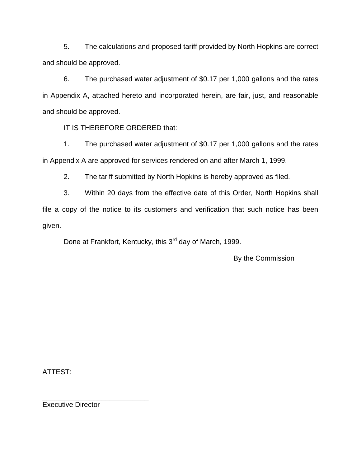5. The calculations and proposed tariff provided by North Hopkins are correct and should be approved.

6. The purchased water adjustment of \$0.17 per 1,000 gallons and the rates in Appendix A, attached hereto and incorporated herein, are fair, just, and reasonable and should be approved.

IT IS THEREFORE ORDERED that:

1. The purchased water adjustment of \$0.17 per 1,000 gallons and the rates in Appendix A are approved for services rendered on and after March 1, 1999.

2. The tariff submitted by North Hopkins is hereby approved as filed.

3. Within 20 days from the effective date of this Order, North Hopkins shall file a copy of the notice to its customers and verification that such notice has been given.

Done at Frankfort, Kentucky, this 3<sup>rd</sup> day of March, 1999.

By the Commission

ATTEST:

\_\_\_\_\_\_\_\_\_\_\_\_\_\_\_\_\_\_\_\_\_\_\_\_\_\_\_ Executive Director